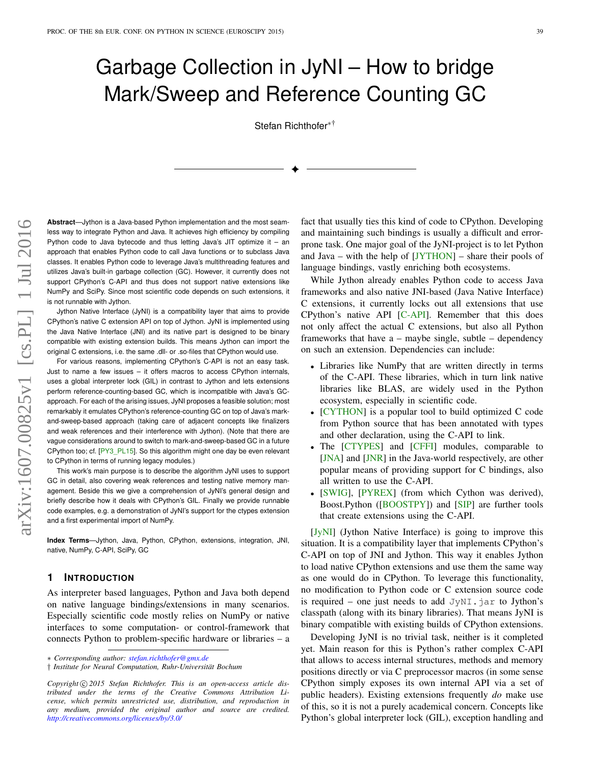# Garbage Collection in JyNI – How to bridge Mark/Sweep and Reference Counting GC

Stefan Richthofer∗†

✦

**Abstract**—Jython is a Java-based Python implementation and the most seamless way to integrate Python and Java. It achieves high efficiency by compiling Python code to Java bytecode and thus letting Java's JIT optimize it – an approach that enables Python code to call Java functions or to subclass Java classes. It enables Python code to leverage Java's multithreading features and utilizes Java's built-in garbage collection (GC). However, it currently does not support CPython's C-API and thus does not support native extensions like NumPy and SciPy. Since most scientific code depends on such extensions, it is not runnable with Jython.

Jython Native Interface (JyNI) is a compatibility layer that aims to provide CPython's native C extension API on top of Jython. JyNI is implemented using the Java Native Interface (JNI) and its native part is designed to be binary compatible with existing extension builds. This means Jython can import the original C extensions, i.e. the same .dll- or .so-files that CPython would use.

For various reasons, implementing CPython's C-API is not an easy task. Just to name a few issues – it offers macros to access CPython internals, uses a global interpreter lock (GIL) in contrast to Jython and lets extensions perform reference-counting-based GC, which is incompatible with Java's GCapproach. For each of the arising issues, JyNI proposes a feasible solution; most remarkably it emulates CPython's reference-counting GC on top of Java's markand-sweep-based approach (taking care of adjacent concepts like finalizers and weak references and their interference with Jython). (Note that there are vague considerations around to switch to mark-and-sweep-based GC in a future CPython too; cf. [\[PY3\\_PL15\]](#page-8-0). So this algorithm might one day be even relevant to CPython in terms of running legacy modules.)

This work's main purpose is to describe the algorithm JyNI uses to support GC in detail, also covering weak references and testing native memory management. Beside this we give a comprehension of JyNI's general design and briefly describe how it deals with CPython's GIL. Finally we provide runnable code examples, e.g. a demonstration of JyNI's support for the ctypes extension and a first experimental import of NumPy.

**Index Terms**—Jython, Java, Python, CPython, extensions, integration, JNI, native, NumPy, C-API, SciPy, GC

## **1 INTRODUCTION**

As interpreter based languages, Python and Java both depend on native language bindings/extensions in many scenarios. Especially scientific code mostly relies on NumPy or native interfaces to some computation- or control-framework that connects Python to problem-specific hardware or libraries – a fact that usually ties this kind of code to CPython. Developing and maintaining such bindings is usually a difficult and errorprone task. One major goal of the JyNI-project is to let Python and Java – with the help of [\[JYTHON\]](#page-8-1) – share their pools of language bindings, vastly enriching both ecosystems.

While Jython already enables Python code to access Java frameworks and also native JNI-based (Java Native Interface) C extensions, it currently locks out all extensions that use CPython's native API [\[C-API\]](#page-8-2). Remember that this does not only affect the actual C extensions, but also all Python frameworks that have a – maybe single, subtle – dependency on such an extension. Dependencies can include:

- Libraries like NumPy that are written directly in terms of the C-API. These libraries, which in turn link native libraries like BLAS, are widely used in the Python ecosystem, especially in scientific code.
- [\[CYTHON\]](#page-8-3) is a popular tool to build optimized C code from Python source that has been annotated with types and other declaration, using the C-API to link.
- The [\[CTYPES\]](#page-8-4) and [\[CFFI\]](#page-8-5) modules, comparable to [\[JNA\]](#page-8-6) and [\[JNR\]](#page-8-7) in the Java-world respectively, are other popular means of providing support for C bindings, also all written to use the C-API.
- [\[SWIG\]](#page-8-8), [\[PYREX\]](#page-8-9) (from which Cython was derived), Boost.Python ([\[BOOSTPY\]](#page-8-10)) and [\[SIP\]](#page-8-11) are further tools that create extensions using the C-API.

[\[JyNI\]](#page-7-0) (Jython Native Interface) is going to improve this situation. It is a compatibility layer that implements CPython's C-API on top of JNI and Jython. This way it enables Jython to load native CPython extensions and use them the same way as one would do in CPython. To leverage this functionality, no modification to Python code or C extension source code is required – one just needs to add  $JyNI$ . jar to Jython's classpath (along with its binary libraries). That means JyNI is binary compatible with existing builds of CPython extensions.

Developing JyNI is no trivial task, neither is it completed yet. Main reason for this is Python's rather complex C-API that allows to access internal structures, methods and memory positions directly or via C preprocessor macros (in some sense CPython simply exposes its own internal API via a set of public headers). Existing extensions frequently *do* make use of this, so it is not a purely academical concern. Concepts like Python's global interpreter lock (GIL), exception handling and

<sup>\*</sup> *Corresponding author: [stefan.richthofer@gmx.de](mailto:stefan.richthofer@gmx.de)*

<sup>†</sup> *Institute for Neural Computation, Ruhr-Universität Bochum*

Copyright  $\odot$  2015 Stefan Richthofer. This is an open-access article dis*tributed under the terms of the Creative Commons Attribution License, which permits unrestricted use, distribution, and reproduction in any medium, provided the original author and source are credited. <http://creativecommons.org/licenses/by/3.0/>*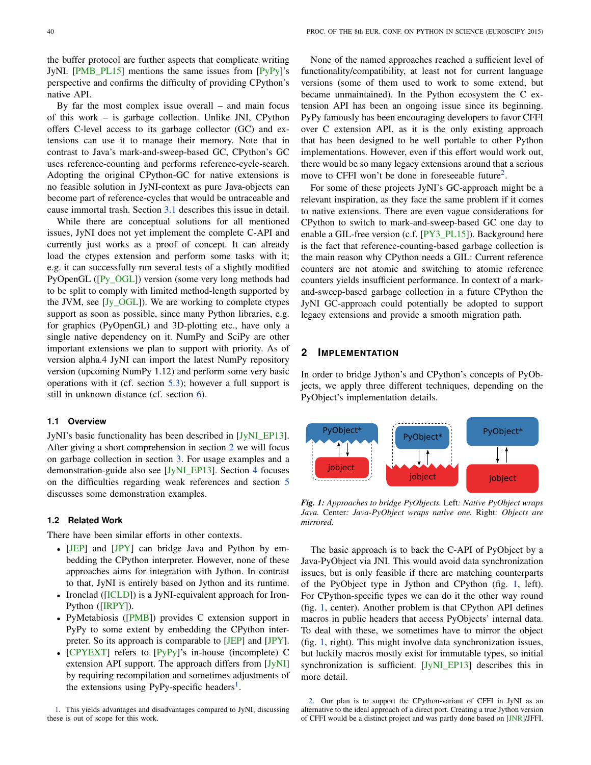the buffer protocol are further aspects that complicate writing JyNI. [\[PMB\\_PL15\]](#page-8-12) mentions the same issues from [\[PyPy\]](#page-8-13)'s perspective and confirms the difficulty of providing CPython's native API.

By far the most complex issue overall – and main focus of this work – is garbage collection. Unlike JNI, CPython offers C-level access to its garbage collector (GC) and extensions can use it to manage their memory. Note that in contrast to Java's mark-and-sweep-based GC, CPython's GC uses reference-counting and performs reference-cycle-search. Adopting the original CPython-GC for native extensions is no feasible solution in JyNI-context as pure Java-objects can become part of reference-cycles that would be untraceable and cause immortal trash. Section [3.1](#page-2-0) describes this issue in detail.

While there are conceptual solutions for all mentioned issues, JyNI does not yet implement the complete C-API and currently just works as a proof of concept. It can already load the ctypes extension and perform some tasks with it; e.g. it can successfully run several tests of a slightly modified PyOpenGL ([\[Py\\_OGL\]](#page-8-14)) version (some very long methods had to be split to comply with limited method-length supported by the JVM, see [\[Jy\\_OGL\]](#page-8-15)). We are working to complete ctypes support as soon as possible, since many Python libraries, e.g. for graphics (PyOpenGL) and 3D-plotting etc., have only a single native dependency on it. NumPy and SciPy are other important extensions we plan to support with priority. As of version alpha.4 JyNI can import the latest NumPy repository version (upcoming NumPy 1.12) and perform some very basic operations with it (cf. section [5.3\)](#page-7-1); however a full support is still in unknown distance (cf. section [6\)](#page-7-2).

#### **1.1 Overview**

JyNI's basic functionality has been described in [\[JyNI\\_EP13\]](#page-8-16). After giving a short comprehension in section [2](#page-1-0) we will focus on garbage collection in section [3.](#page-2-1) For usage examples and a demonstration-guide also see [\[JyNI\\_EP13\]](#page-8-16). Section [4](#page-4-0) focuses on the difficulties regarding weak references and section [5](#page-6-0) discusses some demonstration examples.

## **1.2 Related Work**

There have been similar efforts in other contexts.

- [\[JEP\]](#page-8-17) and [\[JPY\]](#page-8-18) can bridge Java and Python by embedding the CPython interpreter. However, none of these approaches aims for integration with Jython. In contrast to that, JyNI is entirely based on Jython and its runtime.
- Ironclad ([\[ICLD\]](#page-8-19)) is a JyNI-equivalent approach for Iron-Python ([\[IRPY\]](#page-8-20)).
- PyMetabiosis ([\[PMB\]](#page-8-21)) provides C extension support in PyPy to some extent by embedding the CPython interpreter. So its approach is comparable to [\[JEP\]](#page-8-17) and [\[JPY\]](#page-8-18).
- [\[CPYEXT\]](#page-8-22) refers to [\[PyPy\]](#page-8-13)'s in-house (incomplete) C extension API support. The approach differs from [\[JyNI\]](#page-7-0) by requiring recompilation and sometimes adjustments of the extensions using PyPy-specific headers<sup>[1](#page-1-1)</sup>.

<span id="page-1-1"></span>[1.](#page-1-2) This yields advantages and disadvantages compared to JyNI; discussing these is out of scope for this work.

None of the named approaches reached a sufficient level of functionality/compatibility, at least not for current language versions (some of them used to work to some extend, but became unmaintained). In the Python ecosystem the C extension API has been an ongoing issue since its beginning. PyPy famously has been encouraging developers to favor CFFI over C extension API, as it is the only existing approach that has been designed to be well portable to other Python implementations. However, even if this effort would work out, there would be so many legacy extensions around that a serious move to CFFI won't be done in foreseeable future<sup>[2](#page-1-3)</sup>.

<span id="page-1-5"></span>For some of these projects JyNI's GC-approach might be a relevant inspiration, as they face the same problem if it comes to native extensions. There are even vague considerations for CPython to switch to mark-and-sweep-based GC one day to enable a GIL-free version (c.f. [\[PY3\\_PL15\]](#page-8-0)). Background here is the fact that reference-counting-based garbage collection is the main reason why CPython needs a GIL: Current reference counters are not atomic and switching to atomic reference counters yields insufficient performance. In context of a markand-sweep-based garbage collection in a future CPython the JyNI GC-approach could potentially be adopted to support legacy extensions and provide a smooth migration path.

## <span id="page-1-0"></span>**2 IMPLEMENTATION**

In order to bridge Jython's and CPython's concepts of PyObjects, we apply three different techniques, depending on the PyObject's implementation details.

<span id="page-1-4"></span>

*Fig. 1: Approaches to bridge PyObjects.* Left*: Native PyObject wraps Java.* Center*: Java-PyObject wraps native one.* Right*: Objects are mirrored.*

The basic approach is to back the C-API of PyObject by a Java-PyObject via JNI. This would avoid data synchronization issues, but is only feasible if there are matching counterparts of the PyObject type in Jython and CPython (fig. [1,](#page-1-4) left). For CPython-specific types we can do it the other way round (fig. [1,](#page-1-4) center). Another problem is that CPython API defines macros in public headers that access PyObjects' internal data. To deal with these, we sometimes have to mirror the object (fig. [1,](#page-1-4) right). This might involve data synchronization issues, but luckily macros mostly exist for immutable types, so initial synchronization is sufficient. [\[JyNI\\_EP13\]](#page-8-16) describes this in more detail.

<span id="page-1-3"></span><span id="page-1-2"></span>[2.](#page-1-5) Our plan is to support the CPython-variant of CFFI in JyNI as an alternative to the ideal approach of a direct port. Creating a true Jython version of CFFI would be a distinct project and was partly done based on [\[JNR\]](#page-8-7)/JFFI.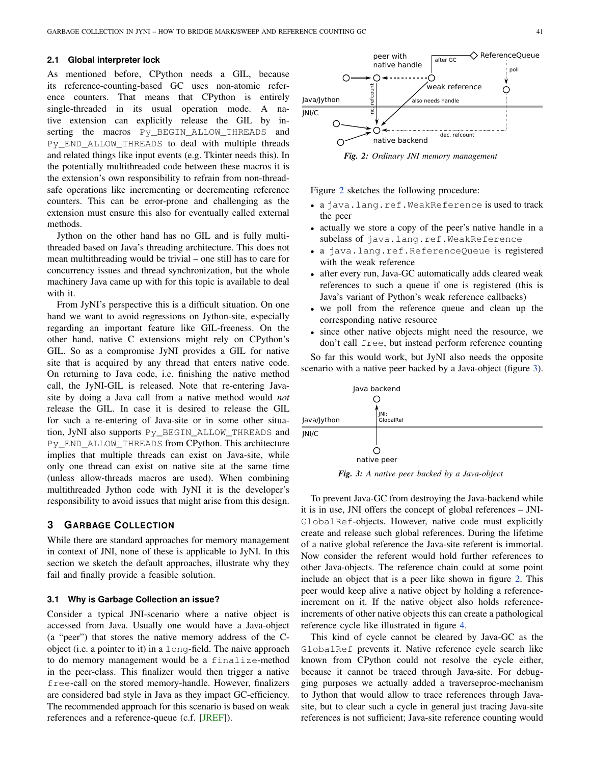#### **2.1 Global interpreter lock**

As mentioned before, CPython needs a GIL, because its reference-counting-based GC uses non-atomic reference counters. That means that CPython is entirely single-threaded in its usual operation mode. A native extension can explicitly release the GIL by inserting the macros Py\_BEGIN\_ALLOW\_THREADS and Py\_END\_ALLOW\_THREADS to deal with multiple threads and related things like input events (e.g. Tkinter needs this). In the potentially multithreaded code between these macros it is the extension's own responsibility to refrain from non-threadsafe operations like incrementing or decrementing reference counters. This can be error-prone and challenging as the extension must ensure this also for eventually called external methods.

Jython on the other hand has no GIL and is fully multithreaded based on Java's threading architecture. This does not mean multithreading would be trivial – one still has to care for concurrency issues and thread synchronization, but the whole machinery Java came up with for this topic is available to deal with it.

From JyNI's perspective this is a difficult situation. On one hand we want to avoid regressions on Jython-site, especially regarding an important feature like GIL-freeness. On the other hand, native C extensions might rely on CPython's GIL. So as a compromise JyNI provides a GIL for native site that is acquired by any thread that enters native code. On returning to Java code, i.e. finishing the native method call, the JyNI-GIL is released. Note that re-entering Javasite by doing a Java call from a native method would *not* release the GIL. In case it is desired to release the GIL for such a re-entering of Java-site or in some other situation, JyNI also supports Py\_BEGIN\_ALLOW\_THREADS and Py\_END\_ALLOW\_THREADS from CPython. This architecture implies that multiple threads can exist on Java-site, while only one thread can exist on native site at the same time (unless allow-threads macros are used). When combining multithreaded Jython code with JyNI it is the developer's responsibility to avoid issues that might arise from this design.

# <span id="page-2-1"></span>**3 GARBAGE COLLECTION**

While there are standard approaches for memory management in context of JNI, none of these is applicable to JyNI. In this section we sketch the default approaches, illustrate why they fail and finally provide a feasible solution.

#### <span id="page-2-0"></span>**3.1 Why is Garbage Collection an issue?**

Consider a typical JNI-scenario where a native object is accessed from Java. Usually one would have a Java-object (a "peer") that stores the native memory address of the Cobject (i.e. a pointer to it) in a long-field. The naive approach to do memory management would be a finalize-method in the peer-class. This finalizer would then trigger a native free-call on the stored memory-handle. However, finalizers are considered bad style in Java as they impact GC-efficiency. The recommended approach for this scenario is based on weak references and a reference-queue (c.f. [\[JREF\]](#page-8-23)).

<span id="page-2-2"></span>

Figure [2](#page-2-2) sketches the following procedure:

- a java.lang.ref.WeakReference is used to track the peer
- actually we store a copy of the peer's native handle in a subclass of java.lang.ref.WeakReference
- a java.lang.ref.ReferenceQueue is registered with the weak reference
- after every run, Java-GC automatically adds cleared weak references to such a queue if one is registered (this is Java's variant of Python's weak reference callbacks)
- we poll from the reference queue and clean up the corresponding native resource
- since other native objects might need the resource, we don't call free, but instead perform reference counting

So far this would work, but JyNI also needs the opposite scenario with a native peer backed by a Java-object (figure [3\)](#page-2-3).

<span id="page-2-3"></span>

*Fig. 3: A native peer backed by a Java-object*

To prevent Java-GC from destroying the Java-backend while it is in use, JNI offers the concept of global references – JNI-GlobalRef-objects. However, native code must explicitly create and release such global references. During the lifetime of a native global reference the Java-site referent is immortal. Now consider the referent would hold further references to other Java-objects. The reference chain could at some point include an object that is a peer like shown in figure [2.](#page-2-2) This peer would keep alive a native object by holding a referenceincrement on it. If the native object also holds referenceincrements of other native objects this can create a pathological reference cycle like illustrated in figure [4.](#page-3-0)

This kind of cycle cannot be cleared by Java-GC as the GlobalRef prevents it. Native reference cycle search like known from CPython could not resolve the cycle either, because it cannot be traced through Java-site. For debugging purposes we actually added a traverseproc-mechanism to Jython that would allow to trace references through Javasite, but to clear such a cycle in general just tracing Java-site references is not sufficient; Java-site reference counting would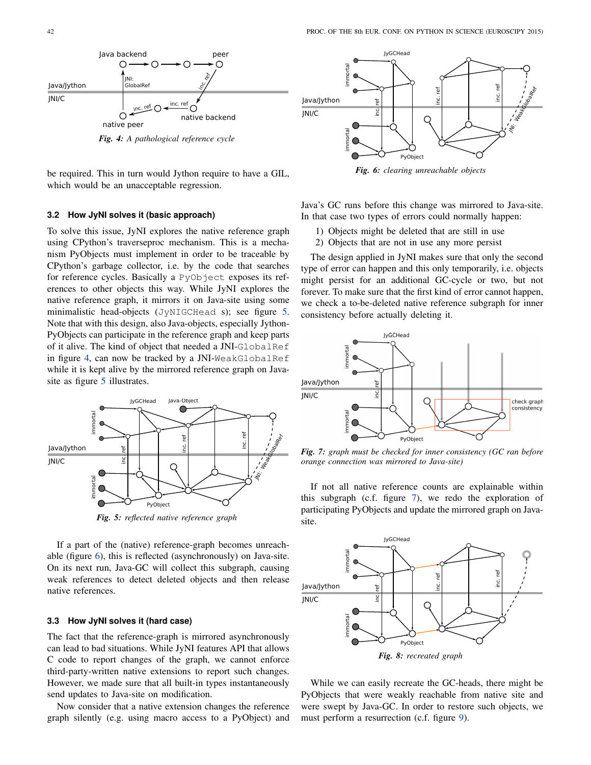<span id="page-3-0"></span>

be required. This in turn would Jython require to have a GIL, which would be an unacceptable regression.

#### **3.2 How JyNI solves it (basic approach)**

To solve this issue, JyNI explores the native reference graph using CPython's traverseproc mechanism. This is a mechanism PyObjects must implement in order to be traceable by CPython's garbage collector, i.e. by the code that searches for reference cycles. Basically a PyObject exposes its references to other objects this way. While JyNI explores the native reference graph, it mirrors it on Java-site using some minimalistic head-objects (JyNIGCHead s); see figure [5.](#page-3-1) Note that with this design, also Java-objects, especially Jython-PyObjects can participate in the reference graph and keep parts of it alive. The kind of object that needed a JNI-GlobalRef in figure [4,](#page-3-0) can now be tracked by a JNI-WeakGlobalRef while it is kept alive by the mirrored reference graph on Java-site as figure [5](#page-3-1) illustrates.

<span id="page-3-1"></span>

*Fig. 5: reflected native reference graph*

If a part of the (native) reference-graph becomes unreachable (figure [6\)](#page-3-2), this is reflected (asynchronously) on Java-site. On its next run, Java-GC will collect this subgraph, causing weak references to detect deleted objects and then release native references.

#### **3.3 How JyNI solves it (hard case)**

The fact that the reference-graph is mirrored asynchronously can lead to bad situations. While JyNI features API that allows C code to report changes of the graph, we cannot enforce third-party-written native extensions to report such changes. However, we made sure that all built-in types instantaneously send updates to Java-site on modification.

Now consider that a native extension changes the reference graph silently (e.g. using macro access to a PyObject) and

<span id="page-3-2"></span>

*Fig. 6: clearing unreachable objects*

Java's GC runs before this change was mirrored to Java-site. In that case two types of errors could normally happen:

- 1) Objects might be deleted that are still in use
- 2) Objects that are not in use any more persist

The design applied in JyNI makes sure that only the second type of error can happen and this only temporarily, i.e. objects might persist for an additional GC-cycle or two, but not forever. To make sure that the first kind of error cannot happen, we check a to-be-deleted native reference subgraph for inner consistency before actually deleting it.

<span id="page-3-3"></span>

*Fig. 7: graph must be checked for inner consistency (GC ran before orange connection was mirrored to Java-site)*

If not all native reference counts are explainable within this subgraph (c.f. figure [7\)](#page-3-3), we redo the exploration of participating PyObjects and update the mirrored graph on Javasite.



While we can easily recreate the GC-heads, there might be PyObjects that were weakly reachable from native site and were swept by Java-GC. In order to restore such objects, we must perform a resurrection (c.f. figure [9\)](#page-4-1).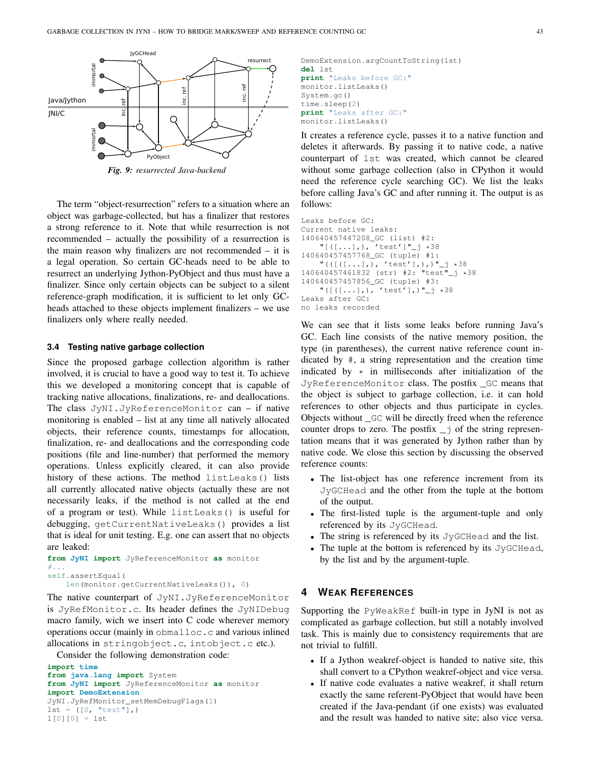<span id="page-4-1"></span>

*Fig. 9: resurrected Java-backend*

The term "object-resurrection" refers to a situation where an object was garbage-collected, but has a finalizer that restores a strong reference to it. Note that while resurrection is not recommended – actually the possibility of a resurrection is the main reason why finalizers are not recommended – it is a legal operation. So certain GC-heads need to be able to resurrect an underlying Jython-PyObject and thus must have a finalizer. Since only certain objects can be subject to a silent reference-graph modification, it is sufficient to let only GCheads attached to these objects implement finalizers – we use finalizers only where really needed.

#### **3.4 Testing native garbage collection**

Since the proposed garbage collection algorithm is rather involved, it is crucial to have a good way to test it. To achieve this we developed a monitoring concept that is capable of tracking native allocations, finalizations, re- and deallocations. The class JyNI.JyReferenceMonitor can – if native monitoring is enabled – list at any time all natively allocated objects, their reference counts, timestamps for allocation, finalization, re- and deallocations and the corresponding code positions (file and line-number) that performed the memory operations. Unless explicitly cleared, it can also provide history of these actions. The method listLeaks() lists all currently allocated native objects (actually these are not necessarily leaks, if the method is not called at the end of a program or test). While listLeaks() is useful for debugging, getCurrentNativeLeaks() provides a list that is ideal for unit testing. E.g. one can assert that no objects are leaked:

```
from JyNI import JyReferenceMonitor as monitor
#...self.assertEqual(
```
len(monitor.getCurrentNativeLeaks()), 0)

The native counterpart of JyNI.JyReferenceMonitor is JyRefMonitor.c. Its header defines the JyNIDebug macro family, wich we insert into C code wherever memory operations occur (mainly in obmalloc.c and various inlined allocations in stringobject.c, intobject.c etc.).

Consider the following demonstration code:

```
import time
from java.lang import System
from JyNI import JyReferenceMonitor as monitor
import DemoExtension
JyNI.JyRefMonitor_setMemDebugFlags(1)
lst = ([0, "test"],")1[0][0] = 1st
```
DemoExtension.argCountToString(lst) **del** lst **print** "Leaks before GC:" monitor.listLeaks() System.gc() time.sleep(2) **print** "Leaks after GC:" monitor.listLeaks()

It creates a reference cycle, passes it to a native function and deletes it afterwards. By passing it to native code, a native counterpart of lst was created, which cannot be cleared without some garbage collection (also in CPython it would need the reference cycle searching GC). We list the leaks before calling Java's GC and after running it. The output is as follows:

```
Leaks before GC:
Current native leaks:
140640457447208_GC (list) #2:
    "[([...],),', 'test']"\_j *38140640457457768_GC (tuple) #1:
    "(([([...],), 'test'],),)"_j *38
140640457461832 (str) #2: "test"_j *38
140640457457856_GC (tuple) #3:
    "([([...],), 'test'],)"_j *38
Leaks after GC:
no leaks recorded
```
We can see that it lists some leaks before running Java's GC. Each line consists of the native memory position, the type (in parentheses), the current native reference count indicated by #, a string representation and the creation time indicated by  $\star$  in milliseconds after initialization of the JyReferenceMonitor class. The postfix \_GC means that the object is subject to garbage collection, i.e. it can hold references to other objects and thus participate in cycles. Objects without \_GC will be directly freed when the reference counter drops to zero. The postfix  $\overline{-j}$  of the string representation means that it was generated by Jython rather than by native code. We close this section by discussing the observed reference counts:

- The list-object has one reference increment from its JyGCHead and the other from the tuple at the bottom of the output.
- The first-listed tuple is the argument-tuple and only referenced by its JyGCHead.
- The string is referenced by its JyGCHead and the list.
- The tuple at the bottom is referenced by its JyGCHead, by the list and by the argument-tuple.

# <span id="page-4-0"></span>**4 WEAK REFERENCES**

Supporting the PyWeakRef built-in type in JyNI is not as complicated as garbage collection, but still a notably involved task. This is mainly due to consistency requirements that are not trivial to fulfill.

- If a Jython weakref-object is handed to native site, this shall convert to a CPython weakref-object and vice versa.
- If native code evaluates a native weakref, it shall return exactly the same referent-PyObject that would have been created if the Java-pendant (if one exists) was evaluated and the result was handed to native site; also vice versa.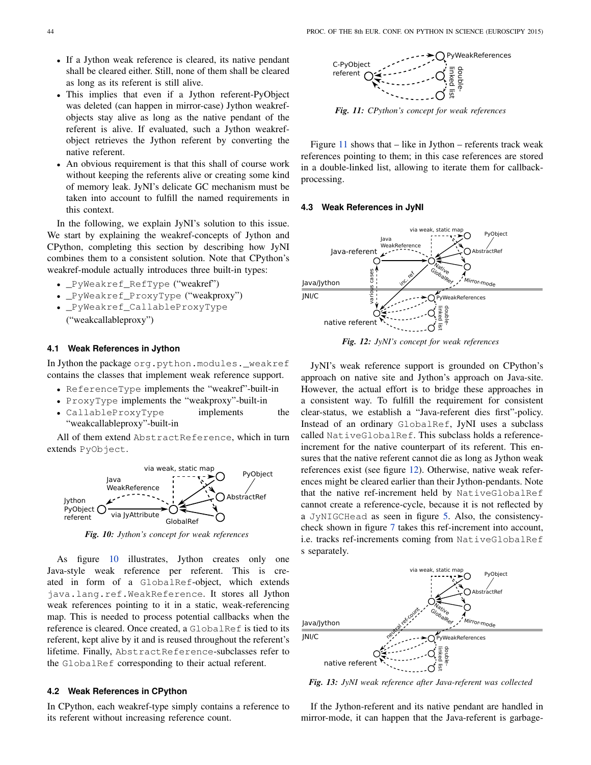- If a Jython weak reference is cleared, its native pendant shall be cleared either. Still, none of them shall be cleared as long as its referent is still alive.
- This implies that even if a Jython referent-PyObject was deleted (can happen in mirror-case) Jython weakrefobjects stay alive as long as the native pendant of the referent is alive. If evaluated, such a Jython weakrefobject retrieves the Jython referent by converting the native referent.
- An obvious requirement is that this shall of course work without keeping the referents alive or creating some kind of memory leak. JyNI's delicate GC mechanism must be taken into account to fulfill the named requirements in this context.

In the following, we explain JyNI's solution to this issue. We start by explaining the weakref-concepts of Jython and CPython, completing this section by describing how JyNI combines them to a consistent solution. Note that CPython's weakref-module actually introduces three built-in types:

- \_PyWeakref\_RefType ("weakref")
- \_PyWeakref\_ProxyType ("weakproxy")
- \_PyWeakref\_CallableProxyType ("weakcallableproxy")

#### **4.1 Weak References in Jython**

In Jython the package org.python.modules.\_weakref contains the classes that implement weak reference support.

- ReferenceType implements the "weakref"-built-in
- ProxyType implements the "weakproxy"-built-in
- CallableProxyType implements the "weakcallableproxy"-built-in

All of them extend AbstractReference, which in turn extends PyObject.

<span id="page-5-0"></span>

*Fig. 10: Jython's concept for weak references*

As figure [10](#page-5-0) illustrates, Jython creates only one Java-style weak reference per referent. This is created in form of a GlobalRef-object, which extends java.lang.ref.WeakReference. It stores all Jython weak references pointing to it in a static, weak-referencing map. This is needed to process potential callbacks when the reference is cleared. Once created, a GlobalRef is tied to its referent, kept alive by it and is reused throughout the referent's lifetime. Finally, AbstractReference-subclasses refer to the GlobalRef corresponding to their actual referent.

#### **4.2 Weak References in CPython**

In CPython, each weakref-type simply contains a reference to

<span id="page-5-1"></span>

*Fig. 11: CPython's concept for weak references*

Figure  $11$  shows that  $-$  like in Jython  $-$  referents track weak references pointing to them; in this case references are stored in a double-linked list, allowing to iterate them for callbackprocessing.

#### **4.3 Weak References in JyNI**

<span id="page-5-2"></span>

*Fig. 12: JyNI's concept for weak references*

stall be closered with a statistic reference based in the posterior of the statistic reference count. The statistic reference counter of the statistic reference count. The statistic reference counter of the statistic refe JyNI's weak reference support is grounded on CPython's approach on native site and Jython's approach on Java-site. However, the actual effort is to bridge these approaches in a consistent way. To fulfill the requirement for consistent clear-status, we establish a "Java-referent dies first"-policy. Instead of an ordinary GlobalRef, JyNI uses a subclass called NativeGlobalRef. This subclass holds a referenceincrement for the native counterpart of its referent. This ensures that the native referent cannot die as long as Jython weak references exist (see figure [12\)](#page-5-2). Otherwise, native weak references might be cleared earlier than their Jython-pendants. Note that the native ref-increment held by NativeGlobalRef cannot create a reference-cycle, because it is not reflected by a JyNIGCHead as seen in figure [5.](#page-3-1) Also, the consistencycheck shown in figure [7](#page-3-3) takes this ref-increment into account, i.e. tracks ref-increments coming from NativeGlobalRef s separately.

<span id="page-5-3"></span>

*Fig. 13: JyNI weak reference after Java-referent was collected*

If the Jython-referent and its native pendant are handled in mirror-mode, it can happen that the Java-referent is garbage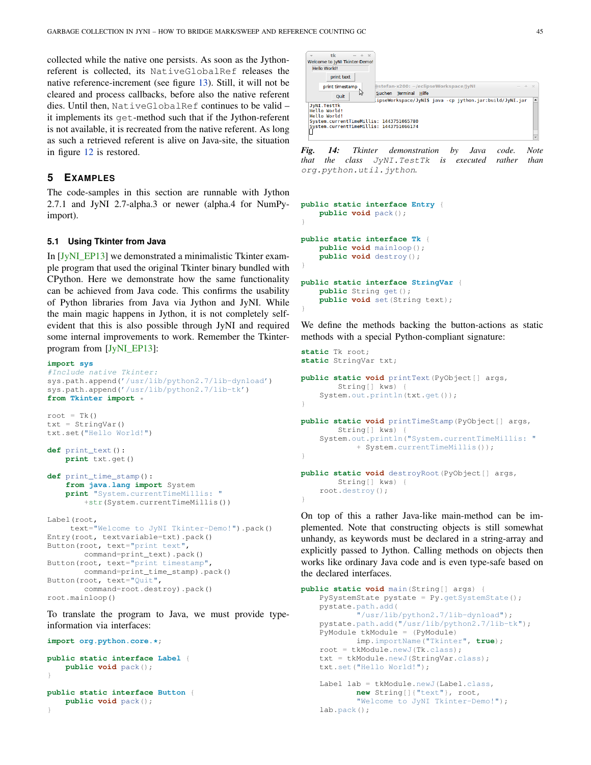collected while the native one persists. As soon as the Jythonreferent is collected, its NativeGlobalRef releases the native reference-increment (see figure [13\)](#page-5-3). Still, it will not be cleared and process callbacks, before also the native referent dies. Until then, NativeGlobalRef continues to be valid – it implements its get-method such that if the Jython-referent is not available, it is recreated from the native referent. As long as such a retrieved referent is alive on Java-site, the situation in figure [12](#page-5-2) is restored.

# <span id="page-6-0"></span>**5 EXAMPLES**

The code-samples in this section are runnable with Jython 2.7.1 and JyNI 2.7-alpha.3 or newer (alpha.4 for NumPyimport).

#### **5.1 Using Tkinter from Java**

In [\[JyNI\\_EP13\]](#page-8-16) we demonstrated a minimalistic Tkinter example program that used the original Tkinter binary bundled with CPython. Here we demonstrate how the same functionality can be achieved from Java code. This confirms the usability of Python libraries from Java via Jython and JyNI. While the main magic happens in Jython, it is not completely selfevident that this is also possible through JyNI and required some internal improvements to work. Remember the Tkinterprogram from [\[JyNI\\_EP13\]](#page-8-16):

#### **import sys**

```
#Include native Tkinter:
sys.path.append('/usr/lib/python2.7/lib-dynload')
sys.path.append('/usr/lib/python2.7/lib-tk')
from Tkinter import *
root = Tk()txt = StringVar()txt.set("Hello World!")
def print_text():
    print txt.get()
def print_time_stamp():
    from java.lang import System
    print "System.currentTimeMillis: "
        +str(System.currentTimeMillis())
Label(root,
    text="Welcome to JyNI Tkinter-Demo!").pack()
Entry(root, textvariable=txt).pack()
Button(root, text="print text",
       command=print_text).pack()
Button(root, text="print timestamp",
       command=print_time_stamp).pack()
Button(root, text="Quit",
       command=root.destroy).pack()
root.mainloop()
```
To translate the program to Java, we must provide typeinformation via interfaces:

**import org.python.core.\***; **public static interface Label** { **public void** pack(); }

**public static interface Button** { **public void** pack(); }

|              | tk<br>$ +$ $\times$                                                                                                                |                                                         |  |
|--------------|------------------------------------------------------------------------------------------------------------------------------------|---------------------------------------------------------|--|
|              | Welcome to JyNI Tkinter-Demo!                                                                                                      |                                                         |  |
| Hello World! |                                                                                                                                    |                                                         |  |
|              | print text                                                                                                                         |                                                         |  |
|              | print timestamp                                                                                                                    | @stefan-x200: ~/eclipseWorkspace/JyNI<br>$-42$          |  |
|              | ry<br>Quit                                                                                                                         | Suchen Terminal Hilfe                                   |  |
|              |                                                                                                                                    | ipseWorkspace/JyNI\$ java -cp jython.jar:build/JyNI.jar |  |
|              | JyNI. TestTk<br>Hello World!<br>Hello World!<br>System.currentTimeMillis: 1443751065780<br>System.currentTimeMillis: 1443751066174 |                                                         |  |

*Fig. 14: Tkinter demonstration by Java code. Note that the class* JyNI.TestTk *is executed rather than* org.python.util.jython*.*

```
public static interface Entry {
    public void pack();
}
public static interface Tk {
    public void mainloop();
    public void destroy();
}
public static interface StringVar {
    public String get();
    public void set(String text);
}
```
We define the methods backing the button-actions as static methods with a special Python-compliant signature:

```
static Tk root;
static StringVar txt;
```

```
public static void printText(PyObject[] args,
        String[] kws) {
    System.out.println(txt.get());
}
public static void printTimeStamp(PyObject[] args,
        String[] kws) {
    System.out.println("System.currentTimeMillis: "
            + System.currentTimeMillis());
}
public static void destroyRoot(PyObject[] args,
       String[] kws) {
    root.destroy();
}
```
On top of this a rather Java-like main-method can be implemented. Note that constructing objects is still somewhat unhandy, as keywords must be declared in a string-array and explicitly passed to Jython. Calling methods on objects then works like ordinary Java code and is even type-safe based on the declared interfaces.

```
public static void main(String[] args) {
   PySystemState pystate = Py.getSystemState();
   pystate.path.add(
            "/usr/lib/python2.7/lib-dynload");
   pystate.path.add("/usr/lib/python2.7/lib-tk");
   PyModule tkModule = (PyModule)
           imp.importName("Tkinter", true);
   root = tkModule.newJ(Tk.class);
   txt = tkModule.newJ(StringVar.class);
   txt.set("Hello World!");
   Label lab = tkModule.newJ(Label.class,
           new String[]{"text"}, root,
            "Welcome to JyNI Tkinter-Demo!");
   lab.pack();
```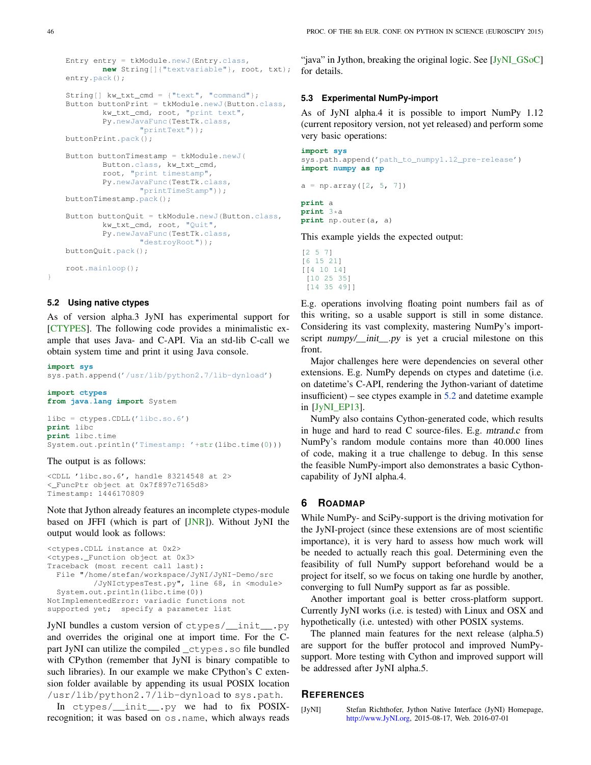```
Entry entry = tkModule.newJ(Entry.class,
      new String[]{"textvariable"}, root, txt);
entry.pack();
String[] kw_txt_cmd = {"text", "command"};
Button buttonPrint = tkModule.newJ(Button.class,
       kw_txt_cmd, root, "print text",
       Py.newJavaFunc(TestTk.class,
               "printText"));
buttonPrint.pack();
Button buttonTimestamp = tkModule.newJ(
       Button.class, kw_txt_cmd,
        root, "print timestamp",
       Py.newJavaFunc(TestTk.class,
               "printTimeStamp"));
buttonTimestamp.pack();
Button buttonQuit = tkModule.newJ(Button.class,
       kw_txt_cmd, root, "Quit",
        Py.newJavaFunc(TestTk.class,
               "destroyRoot"));
buttonQuit.pack();
root.mainloop();
```
## <span id="page-7-3"></span>**5.2 Using native ctypes**

As of version alpha.3 JyNI has experimental support for [\[CTYPES\]](#page-8-4). The following code provides a minimalistic example that uses Java- and C-API. Via an std-lib C-call we obtain system time and print it using Java console.

**import sys** sys.path.append('/usr/lib/python2.7/lib-dynload')

```
import ctypes
from java.lang import System
```
libc = ctypes.CDLL('libc.so.6') **print** libc **print** libc.time System.out.println('Timestamp: '+str(libc.time(0)))

#### The output is as follows:

<CDLL 'libc.so.6', handle 83214548 at 2> <\_FuncPtr object at 0x7f897c7165d8> Timestamp: 1446170809

Note that Jython already features an incomplete ctypes-module based on JFFI (which is part of [\[JNR\]](#page-8-7)). Without JyNI the output would look as follows:

```
<ctypes.CDLL instance at 0x2>
<ctypes._Function object at 0x3>
Traceback (most recent call last):
 File "/home/stefan/workspace/JyNI/JyNI-Demo/src
         /JyNIctypesTest.py", line 68, in <module>
  System.out.println(libc.time(0))
NotImplementedError: variadic functions not
supported yet; specify a parameter list
```
JyNI bundles a custom version of ctypes/\_\_init\_\_.py and overrides the original one at import time. For the Cpart JyNI can utilize the compiled \_ctypes.so file bundled with CPython (remember that JyNI is binary compatible to such libraries). In our example we make CPython's C extension folder available by appending its usual POSIX location /usr/lib/python2.7/lib-dynload to sys.path.

In ctypes/\_\_init\_\_.py we had to fix POSIXrecognition; it was based on os.name, which always reads

"java" in Jython, breaking the original logic. See [\[JyNI\\_GSoC\]](#page-8-24) for details.

#### <span id="page-7-1"></span>**5.3 Experimental NumPy-import**

As of JyNI alpha.4 it is possible to import NumPy 1.12 (current repository version, not yet released) and perform some very basic operations:

```
import sys
sys.path.append('path_to_numpy1.12_pre-release')
import numpy as np
a = np.array([2, 5, 7])
```

```
print a
print 3*a
print np.outer(a, a)
```
This example yields the expected output:

```
[2 5 7]
[6 15 21]
[[4 10 14]
[10 25 35]
 [14 35 49]]
```
E.g. operations involving floating point numbers fail as of this writing, so a usable support is still in some distance. Considering its vast complexity, mastering NumPy's importscript numpy/\_init\_\_.py is yet a crucial milestone on this front.

Major challenges here were dependencies on several other extensions. E.g. NumPy depends on ctypes and datetime (i.e. on datetime's C-API, rendering the Jython-variant of datetime insufficient) – see ctypes example in [5.2](#page-7-3) and datetime example in [\[JyNI\\_EP13\]](#page-8-16).

NumPy also contains Cython-generated code, which results in huge and hard to read C source-files. E.g. mtrand.c from NumPy's random module contains more than 40.000 lines of code, making it a true challenge to debug. In this sense the feasible NumPy-import also demonstrates a basic Cythoncapability of JyNI alpha.4.

### <span id="page-7-2"></span>**6 ROADMAP**

While NumPy- and SciPy-support is the driving motivation for the JyNI-project (since these extensions are of most scientific importance), it is very hard to assess how much work will be needed to actually reach this goal. Determining even the feasibility of full NumPy support beforehand would be a project for itself, so we focus on taking one hurdle by another, converging to full NumPy support as far as possible.

Another important goal is better cross-platform support. Currently JyNI works (i.e. is tested) with Linux and OSX and hypothetically (i.e. untested) with other POSIX systems.

The planned main features for the next release (alpha.5) are support for the buffer protocol and improved NumPysupport. More testing with Cython and improved support will be addressed after JyNI alpha.5.

#### **REFERENCES**

<span id="page-7-0"></span>[JyNI] Stefan Richthofer, Jython Native Interface (JyNI) Homepage, [http://www.JyNI.org,](http://www.JyNI.org) 2015-08-17, Web. 2016-07-01

}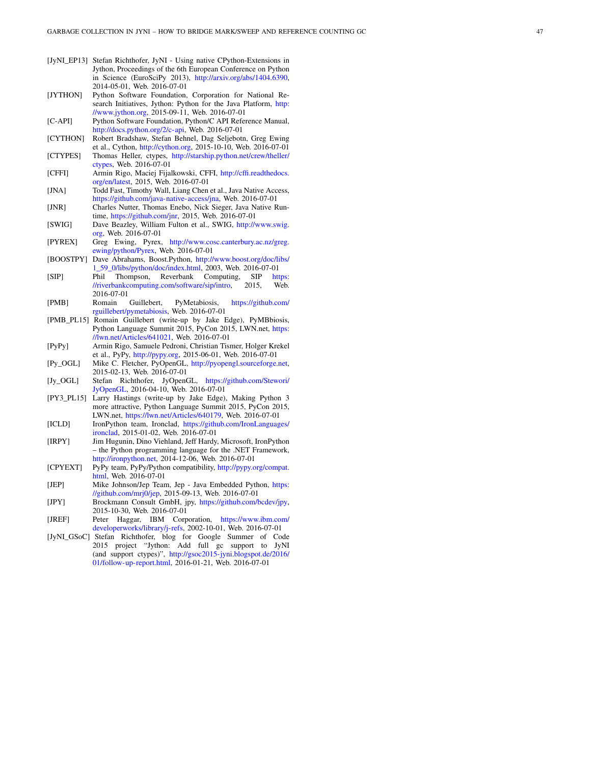- <span id="page-8-16"></span>[JyNI\_EP13] Stefan Richthofer, JyNI - Using native CPython-Extensions in Jython, Proceedings of the 6th European Conference on Python in Science (EuroSciPy 2013), [http://arxiv.org/abs/1404.6390,](http://arxiv.org/abs/1404.6390) 2014-05-01, Web. 2016-07-01
- <span id="page-8-1"></span>[JYTHON] Python Software Foundation, Corporation for National Research Initiatives, Jython: Python for the Java Platform, [http:](http://www.jython.org) [//www.jython.org,](http://www.jython.org) 2015-09-11, Web. 2016-07-01

<span id="page-8-2"></span>[C-API] Python Software Foundation, Python/C API Reference Manual, [http://docs.python.org/2/c-api,](http://docs.python.org/2/c-api) Web. 2016-07-01

- <span id="page-8-3"></span>[CYTHON] Robert Bradshaw, Stefan Behnel, Dag Seljebotn, Greg Ewing et al., Cython, [http://cython.org,](http://cython.org) 2015-10-10, Web. 2016-07-01
- <span id="page-8-4"></span>[CTYPES] Thomas Heller, ctypes, [http://starship.python.net/crew/theller/](http://starship.python.net/crew/theller/ctypes) [ctypes,](http://starship.python.net/crew/theller/ctypes) Web. 2016-07-01
- <span id="page-8-5"></span>[CFFI] Armin Rigo, Maciej Fijalkowski, CFFI, [http://cffi.readthedocs.](http://cffi.readthedocs.org/en/latest) [org/en/latest,](http://cffi.readthedocs.org/en/latest) 2015, Web. 2016-07-01
- <span id="page-8-6"></span>[JNA] Todd Fast, Timothy Wall, Liang Chen et al., Java Native Access, [https://github.com/java-native-access/jna,](https://github.com/java-native-access/jna) Web. 2016-07-01
- <span id="page-8-7"></span>[JNR] Charles Nutter, Thomas Enebo, Nick Sieger, Java Native Runtime, [https://github.com/jnr,](https://github.com/jnr) 2015, Web. 2016-07-01
- <span id="page-8-8"></span>[SWIG] Dave Beazley, William Fulton et al., SWIG, [http://www.swig.](http://www.swig.org) [org,](http://www.swig.org) Web. 2016-07-01
- <span id="page-8-9"></span>[PYREX] Greg Ewing, Pyrex, [http://www.cosc.canterbury.ac.nz/greg.](http://www.cosc.canterbury.ac.nz/greg.ewing/python/Pyrex) [ewing/python/Pyrex,](http://www.cosc.canterbury.ac.nz/greg.ewing/python/Pyrex) Web. 2016-07-01
- <span id="page-8-10"></span>[BOOSTPY] Dave Abrahams, Boost.Python, [http://www.boost.org/doc/libs/](http://www.boost.org/doc/libs/1_59_0/libs/python/doc/index.html) [1\\_59\\_0/libs/python/doc/index.html,](http://www.boost.org/doc/libs/1_59_0/libs/python/doc/index.html) 2003, Web. 2016-07-01
- <span id="page-8-11"></span>[SIP] Phil Thompson, Reverbank Computing, SIP [https:](https://riverbankcomputing.com/software/sip/intro)<br>//riverbank.computing.com/software/sip/intro, 2015, Web. [//riverbankcomputing.com/software/sip/intro,](https://riverbankcomputing.com/software/sip/intro) 2016-07-01
- <span id="page-8-21"></span>[PMB] Romain Guillebert, PyMetabiosis, [https://github.com/](https://github.com/rguillebert/pymetabiosis) [rguillebert/pymetabiosis,](https://github.com/rguillebert/pymetabiosis) Web. 2016-07-01
- <span id="page-8-12"></span>[PMB\_PL15] Romain Guillebert (write-up by Jake Edge), PyMBbiosis, Python Language Summit 2015, PyCon 2015, LWN.net, [https:](https://lwn.net/Articles/641021) [//lwn.net/Articles/641021,](https://lwn.net/Articles/641021) Web. 2016-07-01
- <span id="page-8-13"></span>[PyPy] Armin Rigo, Samuele Pedroni, Christian Tismer, Holger Krekel et al., PyPy, [http://pypy.org,](http://pypy.org) 2015-06-01, Web. 2016-07-01
- <span id="page-8-14"></span>[Py\_OGL] Mike C. Fletcher, PyOpenGL, [http://pyopengl.sourceforge.net,](http://pyopengl.sourceforge.net) 2015-02-13, Web. 2016-07-01
- <span id="page-8-15"></span>[Jy\_OGL] Stefan Richthofer, JyOpenGL, [https://github.com/Stewori/](https://github.com/Stewori/JyOpenGL) [JyOpenGL,](https://github.com/Stewori/JyOpenGL) 2016-04-10, Web. 2016-07-01
- <span id="page-8-0"></span>[PY3\_PL15] Larry Hastings (write-up by Jake Edge), Making Python 3 more attractive, Python Language Summit 2015, PyCon 2015, LWN.net, [https://lwn.net/Articles/640179,](https://lwn.net/Articles/640179) Web. 2016-07-01
- <span id="page-8-19"></span>[ICLD] IronPython team, Ironclad, [https://github.com/IronLanguages/](https://github.com/IronLanguages/ironclad) [ironclad,](https://github.com/IronLanguages/ironclad) 2015-01-02, Web. 2016-07-01
- <span id="page-8-20"></span>[IRPY] Jim Hugunin, Dino Viehland, Jeff Hardy, Microsoft, IronPython – the Python programming language for the .NET Framework, [http://ironpython.net,](http://ironpython.net) 2014-12-06, Web. 2016-07-01
- <span id="page-8-22"></span>[CPYEXT] PyPy team, PyPy/Python compatibility, [http://pypy.org/compat.](http://pypy.org/compat.html) [html,](http://pypy.org/compat.html) Web. 2016-07-01
- <span id="page-8-17"></span>[JEP] Mike Johnson/Jep Team, Jep - Java Embedded Python, [https:](https://github.com/mrj0/jep) [//github.com/mrj0/jep,](https://github.com/mrj0/jep) 2015-09-13, Web. 2016-07-01
- <span id="page-8-18"></span>[JPY] Brockmann Consult GmbH, jpy, [https://github.com/bcdev/jpy,](https://github.com/bcdev/jpy) 2015-10-30, Web. 2016-07-01
- <span id="page-8-23"></span>[JREF] Peter Haggar, IBM Corporation, [https://www.ibm.com/](https://www.ibm.com/developerworks/library/j-refs) [developerworks/library/j-refs,](https://www.ibm.com/developerworks/library/j-refs) 2002-10-01, Web. 2016-07-01
- <span id="page-8-24"></span>[JyNI\_GSoC] Stefan Richthofer, blog for Google Summer of Code 2015 project "Jython: Add full gc support to JyNI (and support ctypes)", [http://gsoc2015-jyni.blogspot.de/2016/](http://gsoc2015-jyni.blogspot.de/2016/01/follow-up-report.html) [01/follow-up-report.html,](http://gsoc2015-jyni.blogspot.de/2016/01/follow-up-report.html) 2016-01-21, Web. 2016-07-01